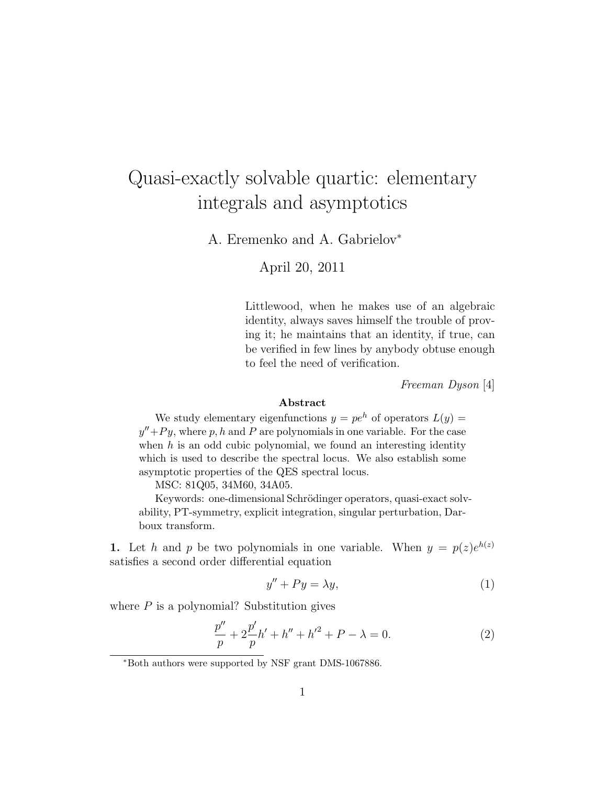# Quasi-exactly solvable quartic: elementary integrals and asymptotics

A. Eremenko and A. Gabrielov<sup>∗</sup>

### April 20, 2011

Littlewood, when he makes use of an algebraic identity, always saves himself the trouble of proving it; he maintains that an identity, if true, can be verified in few lines by anybody obtuse enough to feel the need of verification.

*Freeman Dyson* [4]

#### Abstract

We study elementary eigenfunctions  $y = pe^h$  of operators  $L(y) =$  $y''+Py$ , where p, h and P are polynomials in one variable. For the case when  $h$  is an odd cubic polynomial, we found an interesting identity which is used to describe the spectral locus. We also establish some asymptotic properties of the QES spectral locus.

MSC: 81Q05, 34M60, 34A05.

Keywords: one-dimensional Schrödinger operators, quasi-exact solvability, PT-symmetry, explicit integration, singular perturbation, Darboux transform.

1. Let h and p be two polynomials in one variable. When  $y = p(z)e^{h(z)}$ satisfies a second order differential equation

$$
y'' + Py = \lambda y,\tag{1}
$$

where  $P$  is a polynomial? Substitution gives

$$
\frac{p''}{p} + 2\frac{p'}{p}h' + h'' + h'^2 + P - \lambda = 0.
$$
 (2)

<sup>∗</sup>Both authors were supported by NSF grant DMS-1067886.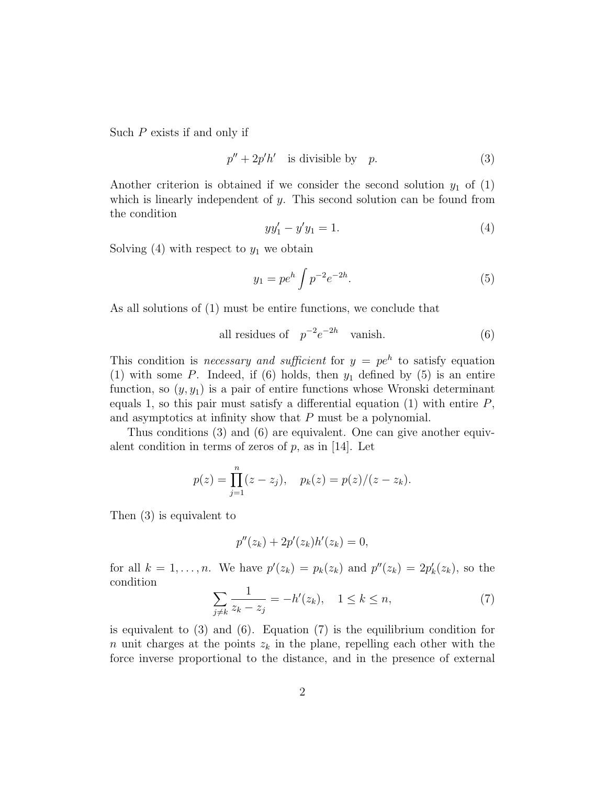Such P exists if and only if

$$
p'' + 2p'h' \quad \text{is divisible by} \quad p. \tag{3}
$$

Another criterion is obtained if we consider the second solution  $y_1$  of (1) which is linearly independent of  $y$ . This second solution can be found from the condition

$$
yy_1' - y'y_1 = 1.
$$
 (4)

Solving  $(4)$  with respect to  $y_1$  we obtain

$$
y_1 = pe^h \int p^{-2} e^{-2h}.
$$
 (5)

As all solutions of (1) must be entire functions, we conclude that

all residues of 
$$
p^{-2}e^{-2h}
$$
 vanish. (6)

This condition is *necessary and sufficient* for  $y = pe^h$  to satisfy equation (1) with some  $P$ . Indeed, if (6) holds, then  $y_1$  defined by (5) is an entire function, so  $(y, y_1)$  is a pair of entire functions whose Wronski determinant equals 1, so this pair must satisfy a differential equation  $(1)$  with entire  $P$ , and asymptotics at infinity show that P must be a polynomial.

Thus conditions (3) and (6) are equivalent. One can give another equivalent condition in terms of zeros of  $p$ , as in [14]. Let

$$
p(z) = \prod_{j=1}^{n} (z - z_j), \quad p_k(z) = p(z)/(z - z_k).
$$

Then (3) is equivalent to

$$
p''(z_k) + 2p'(z_k)h'(z_k) = 0,
$$

for all  $k = 1, \ldots, n$ . We have  $p'(z_k) = p_k(z_k)$  and  $p''(z_k) = 2p'_k(z_k)$ , so the condition

$$
\sum_{j \neq k} \frac{1}{z_k - z_j} = -h'(z_k), \quad 1 \leq k \leq n,
$$
\n(7)

is equivalent to (3) and (6). Equation (7) is the equilibrium condition for n unit charges at the points  $z_k$  in the plane, repelling each other with the force inverse proportional to the distance, and in the presence of external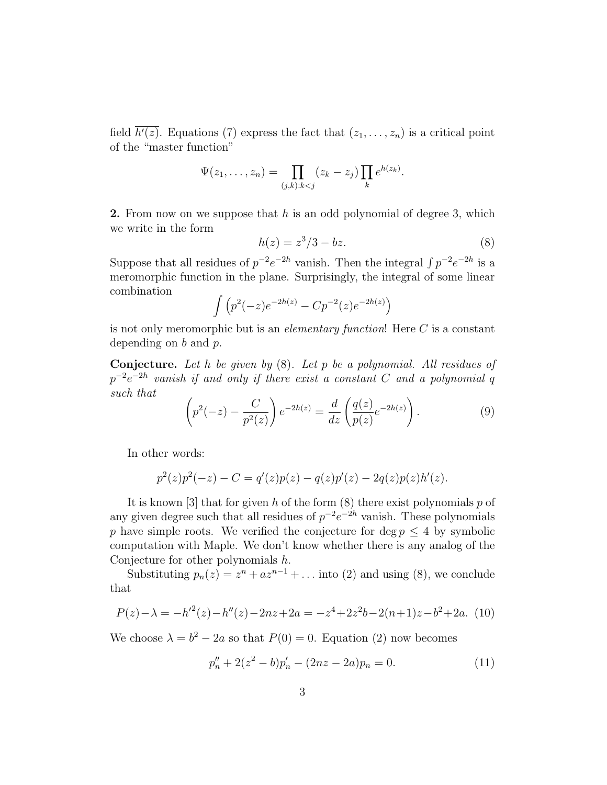field  $h'(z)$ . Equations (7) express the fact that  $(z_1,\ldots,z_n)$  is a critical point of the "master function"

$$
\Psi(z_1,\ldots,z_n)=\prod_{(j,k):k
$$

**2.** From now on we suppose that h is an odd polynomial of degree 3, which we write in the form

$$
h(z) = z^3/3 - bz.\tag{8}
$$

Suppose that all residues of  $p^{-2}e^{-2h}$  vanish. Then the integral  $\int p^{-2}e^{-2h}$  is a meromorphic function in the plane. Surprisingly, the integral of some linear combination

$$
\int (p^2(-z)e^{-2h(z)} - Cp^{-2}(z)e^{-2h(z)})
$$

is not only meromorphic but is an *elementary function*! Here C is a constant depending on  $b$  and  $p$ .

Conjecture. *Let* h *be given by* (8)*. Let* p *be a polynomial. All residues of*  $p^{-2}e^{-2h}$  vanish if and only if there exist a constant  $C$  and a polynomial  $q$ *such that*

$$
\left(p^2(-z) - \frac{C}{p^2(z)}\right)e^{-2h(z)} = \frac{d}{dz}\left(\frac{q(z)}{p(z)}e^{-2h(z)}\right).
$$
 (9)

In other words:

$$
p^{2}(z)p^{2}(-z) - C = q'(z)p(z) - q(z)p'(z) - 2q(z)p(z)h'(z).
$$

It is known [3] that for given h of the form  $(8)$  there exist polynomials p of any given degree such that all residues of  $p^{-2}e^{-2h}$  vanish. These polynomials p have simple roots. We verified the conjecture for deg  $p \leq 4$  by symbolic computation with Maple. We don't know whether there is any analog of the Conjecture for other polynomials h.

Substituting  $p_n(z) = z^n + az^{n-1} + \dots$  into (2) and using (8), we conclude that

$$
P(z) - \lambda = -h^2(z) - h''(z) - 2nz + 2a = -z^4 + 2z^2b - 2(n+1)z - b^2 + 2a. \tag{10}
$$

We choose  $\lambda = b^2 - 2a$  so that  $P(0) = 0$ . Equation (2) now becomes

$$
p_n'' + 2(z^2 - b)p_n' - (2nz - 2a)p_n = 0.
$$
 (11)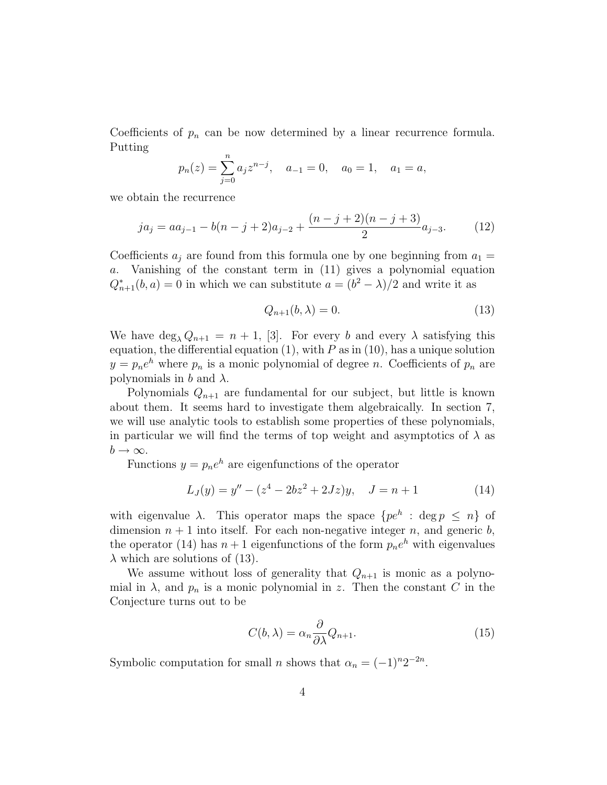Coefficients of  $p_n$  can be now determined by a linear recurrence formula. Putting

$$
p_n(z) = \sum_{j=0}^n a_j z^{n-j}
$$
,  $a_{-1} = 0$ ,  $a_0 = 1$ ,  $a_1 = a$ ,

we obtain the recurrence

$$
ja_j = aa_{j-1} - b(n-j+2)a_{j-2} + \frac{(n-j+2)(n-j+3)}{2}a_{j-3}.
$$
 (12)

Coefficients  $a_j$  are found from this formula one by one beginning from  $a_1 =$ a. Vanishing of the constant term in (11) gives a polynomial equation  $Q_{n+1}^*(b, a) = 0$  in which we can substitute  $a = (b^2 - \lambda)/2$  and write it as

$$
Q_{n+1}(b,\lambda) = 0.\t\t(13)
$$

We have  $\deg_{\lambda} Q_{n+1} = n+1$ , [3]. For every b and every  $\lambda$  satisfying this equation, the differential equation  $(1)$ , with P as in  $(10)$ , has a unique solution  $y = p_n e^h$  where  $p_n$  is a monic polynomial of degree n. Coefficients of  $p_n$  are polynomials in b and  $\lambda$ .

Polynomials  $Q_{n+1}$  are fundamental for our subject, but little is known about them. It seems hard to investigate them algebraically. In section 7, we will use analytic tools to establish some properties of these polynomials, in particular we will find the terms of top weight and asymptotics of  $\lambda$  as  $b \to \infty$ .

Functions  $y = p_n e^h$  are eigenfunctions of the operator

$$
L_J(y) = y'' - (z^4 - 2bz^2 + 2Jz)y, \quad J = n + 1 \tag{14}
$$

with eigenvalue  $\lambda$ . This operator maps the space  $\{pe^{h}: \deg p \leq n\}$  of dimension  $n + 1$  into itself. For each non-negative integer n, and generic b, the operator (14) has  $n+1$  eigenfunctions of the form  $p_ne^h$  with eigenvalues  $\lambda$  which are solutions of (13).

We assume without loss of generality that  $Q_{n+1}$  is monic as a polynomial in  $\lambda$ , and  $p_n$  is a monic polynomial in z. Then the constant C in the Conjecture turns out to be

$$
C(b,\lambda) = \alpha_n \frac{\partial}{\partial \lambda} Q_{n+1}.
$$
\n(15)

Symbolic computation for small *n* shows that  $\alpha_n = (-1)^n 2^{-2n}$ .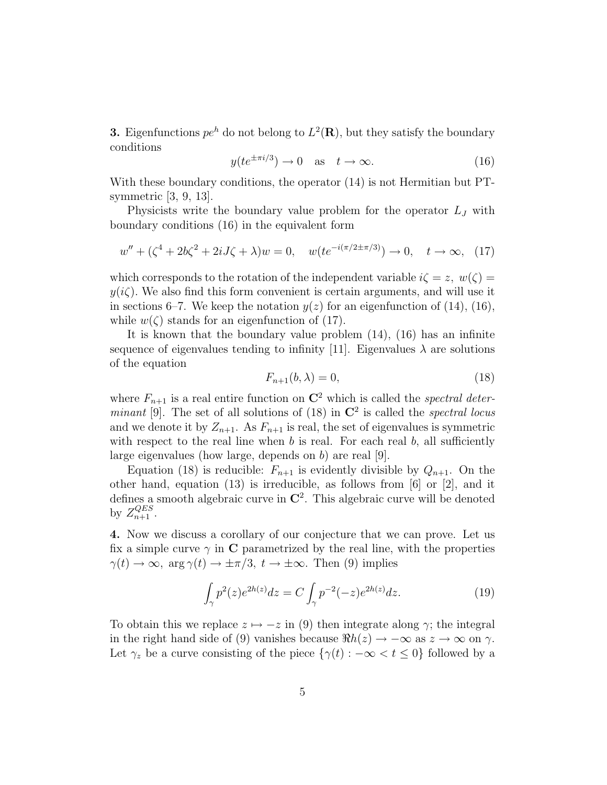**3.** Eigenfunctions  $pe^{h}$  do not belong to  $L^{2}(\mathbf{R})$ , but they satisfy the boundary conditions

$$
y(te^{\pm \pi i/3}) \to 0 \quad \text{as} \quad t \to \infty. \tag{16}
$$

With these boundary conditions, the operator (14) is not Hermitian but PTsymmetric [3, 9, 13].

Physicists write the boundary value problem for the operator  $L_J$  with boundary conditions (16) in the equivalent form

$$
w'' + (\zeta^4 + 2b\zeta^2 + 2iJ\zeta + \lambda)w = 0, \quad w(te^{-i(\pi/2 \pm \pi/3)}) \to 0, \quad t \to \infty, \tag{17}
$$

which corresponds to the rotation of the independent variable  $i\zeta = z, w(\zeta) =$  $y(i\zeta)$ . We also find this form convenient is certain arguments, and will use it in sections 6–7. We keep the notation  $y(z)$  for an eigenfunction of (14), (16), while  $w(\zeta)$  stands for an eigenfunction of (17).

It is known that the boundary value problem (14), (16) has an infinite sequence of eigenvalues tending to infinity [11]. Eigenvalues  $\lambda$  are solutions of the equation

$$
F_{n+1}(b,\lambda) = 0,\t\t(18)
$$

where  $F_{n+1}$  is a real entire function on  $\mathbb{C}^2$  which is called the *spectral determinant* [9]. The set of all solutions of  $(18)$  in  $\mathbb{C}^2$  is called the *spectral locus* and we denote it by  $Z_{n+1}$ . As  $F_{n+1}$  is real, the set of eigenvalues is symmetric with respect to the real line when  $b$  is real. For each real  $b$ , all sufficiently large eigenvalues (how large, depends on b) are real [9].

Equation (18) is reducible:  $F_{n+1}$  is evidently divisible by  $Q_{n+1}$ . On the other hand, equation (13) is irreducible, as follows from [6] or [2], and it defines a smooth algebraic curve in  $\mathbb{C}^2$ . This algebraic curve will be denoted by  $Z_{n+1}^{QES}$ .

4. Now we discuss a corollary of our conjecture that we can prove. Let us fix a simple curve  $\gamma$  in C parametrized by the real line, with the properties  $\gamma(t) \to \infty$ , arg  $\gamma(t) \to \pm \pi/3$ ,  $t \to \pm \infty$ . Then (9) implies

$$
\int_{\gamma} p^2(z)e^{2h(z)}dz = C \int_{\gamma} p^{-2}(-z)e^{2h(z)}dz.
$$
 (19)

To obtain this we replace  $z \mapsto -z$  in (9) then integrate along  $\gamma$ ; the integral in the right hand side of (9) vanishes because  $\Re h(z) \to -\infty$  as  $z \to \infty$  on  $\gamma$ . Let  $\gamma_z$  be a curve consisting of the piece  $\{\gamma(t) : -\infty < t \leq 0\}$  followed by a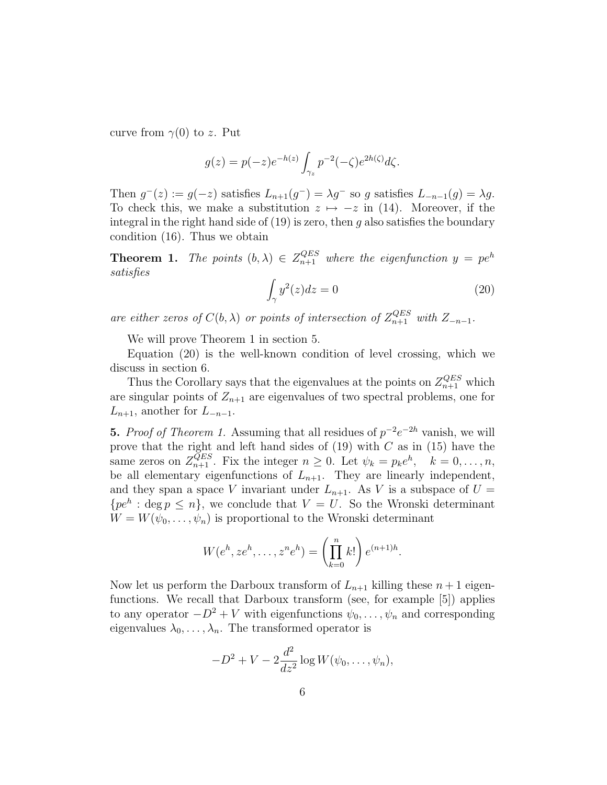curve from  $\gamma(0)$  to z. Put

$$
g(z) = p(-z)e^{-h(z)} \int_{\gamma_z} p^{-2}(-\zeta)e^{2h(\zeta)} d\zeta.
$$

Then  $g^-(z) := g(-z)$  satisfies  $L_{n+1}(g^-) = \lambda g^-$  so g satisfies  $L_{-n-1}(g) = \lambda g$ . To check this, we make a substitution  $z \mapsto -z$  in (14). Moreover, if the integral in the right hand side of  $(19)$  is zero, then g also satisfies the boundary condition (16). Thus we obtain

**Theorem 1.** The points  $(b, \lambda) \in Z_{n+1}^{QES}$  where the eigenfunction  $y = pe^h$ *satisfies*

$$
\int_{\gamma} y^2(z)dz = 0\tag{20}
$$

*are either zeros of*  $C(b, \lambda)$  *or points of intersection of*  $Z_{n+1}^{QES}$  *with*  $Z_{-n-1}$ *.* 

We will prove Theorem 1 in section 5.

Equation (20) is the well-known condition of level crossing, which we discuss in section 6.

Thus the Corollary says that the eigenvalues at the points on  $Z_{n+1}^{QES}$  which are singular points of  $Z_{n+1}$  are eigenvalues of two spectral problems, one for  $L_{n+1}$ , another for  $L_{-n-1}$ .

**5.** *Proof of Theorem 1.* Assuming that all residues of  $p^{-2}e^{-2h}$  vanish, we will prove that the right and left hand sides of  $(19)$  with C as in  $(15)$  have the same zeros on  $Z_{n+1}^{QES}$ . Fix the integer  $n \geq 0$ . Let  $\psi_k = p_k e^h$ ,  $k = 0, \ldots, n$ , be all elementary eigenfunctions of  $L_{n+1}$ . They are linearly independent, and they span a space V invariant under  $L_{n+1}$ . As V is a subspace of  $U =$  $\{pe^{h} : \text{deg } p \leq n\},\$  we conclude that  $V = U$ . So the Wronski determinant  $W = W(\psi_0, \ldots, \psi_n)$  is proportional to the Wronski determinant

$$
W(eh, zeh,..., zneh) = \left(\prod_{k=0}^{n} k!\right) e^{(n+1)h}.
$$

Now let us perform the Darboux transform of  $L_{n+1}$  killing these  $n+1$  eigenfunctions. We recall that Darboux transform (see, for example [5]) applies to any operator  $-D^2 + V$  with eigenfunctions  $\psi_0, \ldots, \psi_n$  and corresponding eigenvalues  $\lambda_0, \ldots, \lambda_n$ . The transformed operator is

$$
-D2 + V - 2\frac{d2}{dz2} \log W(\psi_0, \dots, \psi_n),
$$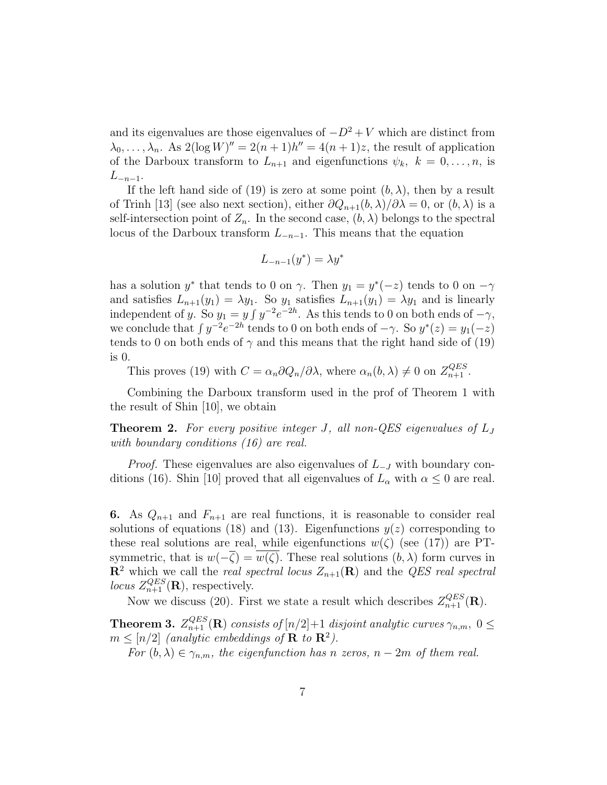and its eigenvalues are those eigenvalues of  $-D^2 + V$  which are distinct from  $\lambda_0, \ldots, \lambda_n$ . As  $2(\log W)'' = 2(n+1)h'' = 4(n+1)z$ , the result of application of the Darboux transform to  $L_{n+1}$  and eigenfunctions  $\psi_k$ ,  $k = 0, \ldots, n$ , is  $L_{-n-1}$ .

If the left hand side of (19) is zero at some point  $(b, \lambda)$ , then by a result of Trinh [13] (see also next section), either  $\partial Q_{n+1}(b,\lambda)/\partial \lambda = 0$ , or  $(b,\lambda)$  is a self-intersection point of  $Z_n$ . In the second case,  $(b, \lambda)$  belongs to the spectral locus of the Darboux transform  $L_{-n-1}$ . This means that the equation

$$
L_{-n-1}(y^*) = \lambda y^*
$$

has a solution  $y^*$  that tends to 0 on  $\gamma$ . Then  $y_1 = y^*(-z)$  tends to 0 on  $-\gamma$ and satisfies  $L_{n+1}(y_1) = \lambda y_1$ . So  $y_1$  satisfies  $L_{n+1}(y_1) = \lambda y_1$  and is linearly independent of y. So  $y_1 = y \int y^{-2} e^{-2h}$ . As this tends to 0 on both ends of  $-\gamma$ , we conclude that  $\int y^{-2}e^{-2h}$  tends to 0 on both ends of  $-\gamma$ . So  $y^*(z) = y_1(-z)$ tends to 0 on both ends of  $\gamma$  and this means that the right hand side of (19) is 0.

This proves (19) with  $C = \alpha_n \partial Q_n / \partial \lambda$ , where  $\alpha_n(b, \lambda) \neq 0$  on  $Z_{n+1}^{QES}$ .

Combining the Darboux transform used in the prof of Theorem 1 with the result of Shin [10], we obtain

Theorem 2. *For every positive integer* J*, all non-QES eigenvalues of* L<sup>J</sup> *with boundary conditions (16) are real.*

*Proof.* These eigenvalues are also eigenvalues of  $L_{-J}$  with boundary conditions (16). Shin [10] proved that all eigenvalues of  $L_{\alpha}$  with  $\alpha \leq 0$  are real.

6. As  $Q_{n+1}$  and  $F_{n+1}$  are real functions, it is reasonable to consider real solutions of equations (18) and (13). Eigenfunctions  $y(z)$  corresponding to these real solutions are real, while eigenfunctions  $w(\zeta)$  (see (17)) are PTsymmetric, that is  $w(-\overline{\zeta}) = w(\zeta)$ . These real solutions  $(b, \lambda)$  form curves in  $\mathbb{R}^2$  which we call the *real spectral locus*  $Z_{n+1}(\mathbb{R})$  and the *QES real spectral locus*  $Z_{n+1}^{QES}(\mathbf{R})$ , respectively.

Now we discuss (20). First we state a result which describes  $Z_{n+1}^{QES}(\mathbf{R})$ .

**Theorem 3.**  $Z_{n+1}^{QES}(\mathbf{R})$  consists of  $[n/2]+1$  disjoint analytic curves  $\gamma_{n,m}$ ,  $0 \leq$  $m \leq [n/2]$  (analytic embeddings of **R** to **R**<sup>2</sup>).

*For*  $(b, \lambda) \in \gamma_{n,m}$ , the eigenfunction has n zeros,  $n-2m$  of them real.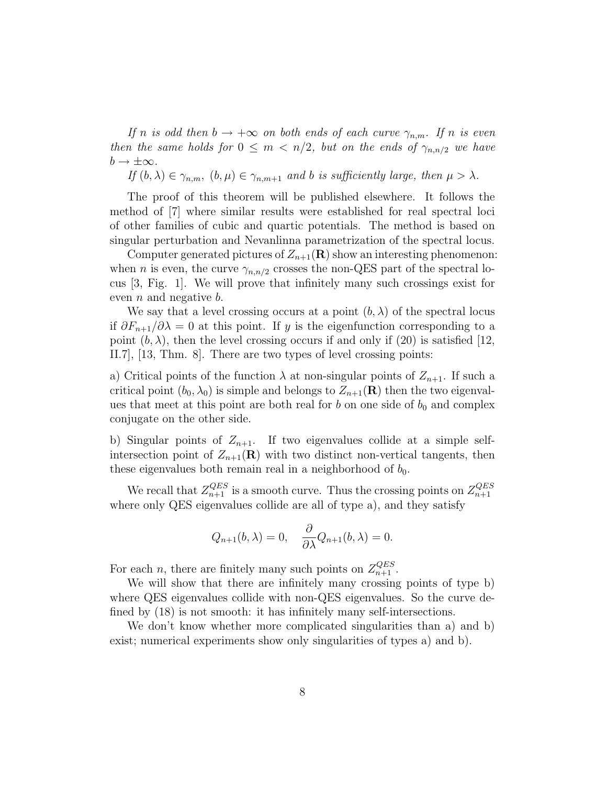*If* n *is odd then*  $b \rightarrow +\infty$  *on both ends of each curve*  $\gamma_{n,m}$ *. If* n *is even then the same holds for*  $0 \leq m < n/2$ , *but on the ends of*  $\gamma_{n,n/2}$  *we have*  $b \rightarrow \pm \infty$ .

*If*  $(b, \lambda) \in \gamma_{n,m}$ ,  $(b, \mu) \in \gamma_{n,m+1}$  *and b is sufficiently large, then*  $\mu > \lambda$ *.* 

The proof of this theorem will be published elsewhere. It follows the method of [7] where similar results were established for real spectral loci of other families of cubic and quartic potentials. The method is based on singular perturbation and Nevanlinna parametrization of the spectral locus.

Computer generated pictures of  $Z_{n+1}(\mathbf{R})$  show an interesting phenomenon: when *n* is even, the curve  $\gamma_{n,n/2}$  crosses the non-QES part of the spectral locus [3, Fig. 1]. We will prove that infinitely many such crossings exist for even  $n$  and negative  $b$ .

We say that a level crossing occurs at a point  $(b, \lambda)$  of the spectral locus if  $\partial F_{n+1}/\partial\lambda = 0$  at this point. If y is the eigenfunction corresponding to a point  $(b, \lambda)$ , then the level crossing occurs if and only if (20) is satisfied [12, II.7], [13, Thm. 8]. There are two types of level crossing points:

a) Critical points of the function  $\lambda$  at non-singular points of  $Z_{n+1}$ . If such a critical point  $(b_0, \lambda_0)$  is simple and belongs to  $Z_{n+1}(\mathbf{R})$  then the two eigenvalues that meet at this point are both real for b on one side of  $b_0$  and complex conjugate on the other side.

b) Singular points of  $Z_{n+1}$ . If two eigenvalues collide at a simple selfintersection point of  $Z_{n+1}(\mathbf{R})$  with two distinct non-vertical tangents, then these eigenvalues both remain real in a neighborhood of  $b_0$ .

We recall that  $Z_{n+1}^{QES}$  is a smooth curve. Thus the crossing points on  $Z_{n+1}^{QES}$  $n+1$ where only QES eigenvalues collide are all of type a), and they satisfy

$$
Q_{n+1}(b,\lambda) = 0, \quad \frac{\partial}{\partial \lambda} Q_{n+1}(b,\lambda) = 0.
$$

For each *n*, there are finitely many such points on  $Z_{n+1}^{QES}$ .

We will show that there are infinitely many crossing points of type b) where QES eigenvalues collide with non-QES eigenvalues. So the curve defined by (18) is not smooth: it has infinitely many self-intersections.

We don't know whether more complicated singularities than a) and b) exist; numerical experiments show only singularities of types a) and b).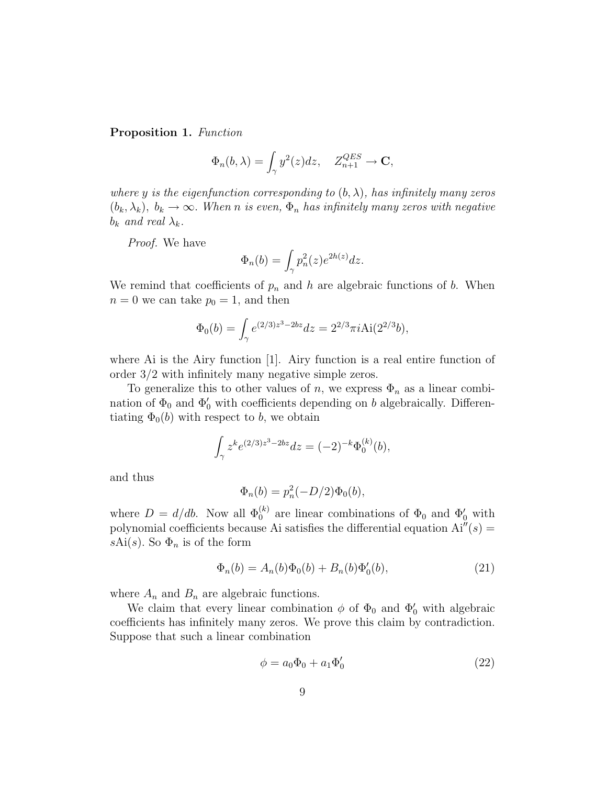#### Proposition 1. *Function*

$$
\Phi_n(b,\lambda) = \int_\gamma y^2(z)dz, \quad Z_{n+1}^{QES} \to \mathbf{C},
$$

*where* y *is the eigenfunction corresponding to*  $(b, \lambda)$ *, has infinitely many zeros*  $(b_k, \lambda_k)$ ,  $b_k \to \infty$ . *When n is even*,  $\Phi_n$  *has infinitely many zeros with negative*  $b_k$  *and real*  $\lambda_k$ .

*Proof.* We have

$$
\Phi_n(b) = \int_{\gamma} p_n^2(z) e^{2h(z)} dz.
$$

We remind that coefficients of  $p_n$  and h are algebraic functions of b. When  $n = 0$  we can take  $p_0 = 1$ , and then

$$
\Phi_0(b) = \int_{\gamma} e^{(2/3)z^3 - 2bz} dz = 2^{2/3} \pi i \text{Ai}(2^{2/3}b),
$$

where Ai is the Airy function [1]. Airy function is a real entire function of order 3/2 with infinitely many negative simple zeros.

To generalize this to other values of n, we express  $\Phi_n$  as a linear combination of  $\Phi_0$  and  $\Phi'_0$  with coefficients depending on b algebraically. Differentiating  $\Phi_0(b)$  with respect to b, we obtain

$$
\int_{\gamma} z^k e^{(2/3)z^3 - 2bz} dz = (-2)^{-k} \Phi_0^{(k)}(b),
$$

and thus

$$
\Phi_n(b) = p_n^2(-D/2)\Phi_0(b),
$$

where  $D = d/db$ . Now all  $\Phi_0^{(k)}$  are linear combinations of  $\Phi_0$  and  $\Phi'_0$  with polynomial coefficients because Ai satisfies the differential equation  $Ai''(s) =$ sAi(s). So  $\Phi_n$  is of the form

$$
\Phi_n(b) = A_n(b)\Phi_0(b) + B_n(b)\Phi'_0(b),\tag{21}
$$

where  $A_n$  and  $B_n$  are algebraic functions.

We claim that every linear combination  $\phi$  of  $\Phi_0$  and  $\Phi'_0$  with algebraic coefficients has infinitely many zeros. We prove this claim by contradiction. Suppose that such a linear combination

$$
\phi = a_0 \Phi_0 + a_1 \Phi'_0 \tag{22}
$$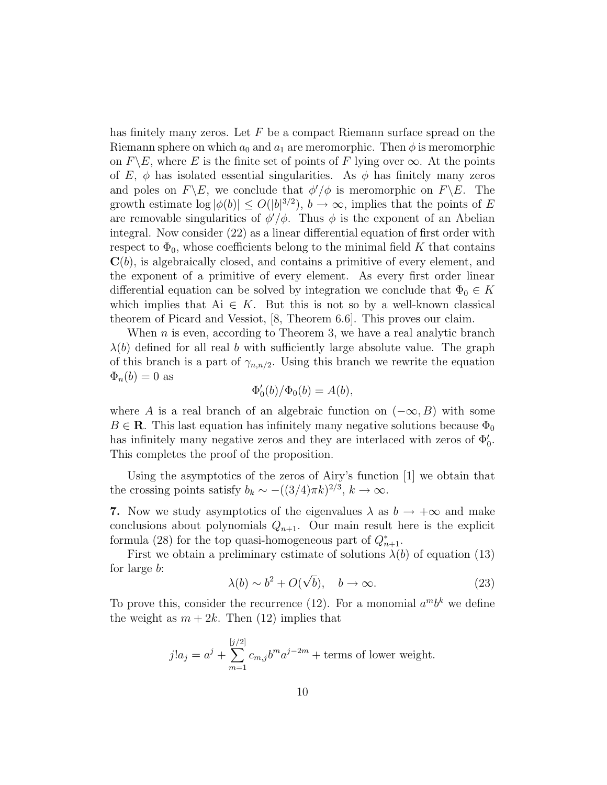has finitely many zeros. Let  $F$  be a compact Riemann surface spread on the Riemann sphere on which  $a_0$  and  $a_1$  are meromorphic. Then  $\phi$  is meromorphic on  $F\backslash E$ , where E is the finite set of points of F lying over  $\infty$ . At the points of E,  $\phi$  has isolated essential singularities. As  $\phi$  has finitely many zeros and poles on  $F\backslash E$ , we conclude that  $\phi'/\phi$  is meromorphic on  $F\backslash E$ . The growth estimate  $\log |\phi(b)| \le O(|b|^{3/2}), b \to \infty$ , implies that the points of E are removable singularities of  $\phi'/\phi$ . Thus  $\phi$  is the exponent of an Abelian integral. Now consider (22) as a linear differential equation of first order with respect to  $\Phi_0$ , whose coefficients belong to the minimal field K that contains  $\mathbf{C}(b)$ , is algebraically closed, and contains a primitive of every element, and the exponent of a primitive of every element. As every first order linear differential equation can be solved by integration we conclude that  $\Phi_0 \in K$ which implies that Ai  $\in$  K. But this is not so by a well-known classical theorem of Picard and Vessiot, [8, Theorem 6.6]. This proves our claim.

When  $n$  is even, according to Theorem 3, we have a real analytic branch  $\lambda(b)$  defined for all real b with sufficiently large absolute value. The graph of this branch is a part of  $\gamma_{n,n/2}$ . Using this branch we rewrite the equation  $\Phi_n(b) = 0$  as

$$
\Phi_0'(b)/\Phi_0(b) = A(b),
$$

where A is a real branch of an algebraic function on  $(-\infty, B)$  with some  $B \in \mathbf{R}$ . This last equation has infinitely many negative solutions because  $\Phi_0$ has infinitely many negative zeros and they are interlaced with zeros of  $\Phi'_0$ . This completes the proof of the proposition.

Using the asymptotics of the zeros of Airy's function [1] we obtain that the crossing points satisfy  $b_k \sim -((3/4)\pi k)^{2/3}, k \to \infty$ .

7. Now we study asymptotics of the eigenvalues  $\lambda$  as  $b \to +\infty$  and make conclusions about polynomials  $Q_{n+1}$ . Our main result here is the explicit formula (28) for the top quasi-homogeneous part of  $Q_{n+1}^*$ .

First we obtain a preliminary estimate of solutions  $\lambda(b)$  of equation (13) for large b:

$$
\lambda(b) \sim b^2 + O(\sqrt{b}), \quad b \to \infty.
$$
 (23)

To prove this, consider the recurrence (12). For a monomial  $a^m b^k$  we define the weight as  $m + 2k$ . Then (12) implies that

$$
j!a_j = a^j + \sum_{m=1}^{[j/2]} c_{m,j}b^m a^{j-2m} + \text{terms of lower weight.}
$$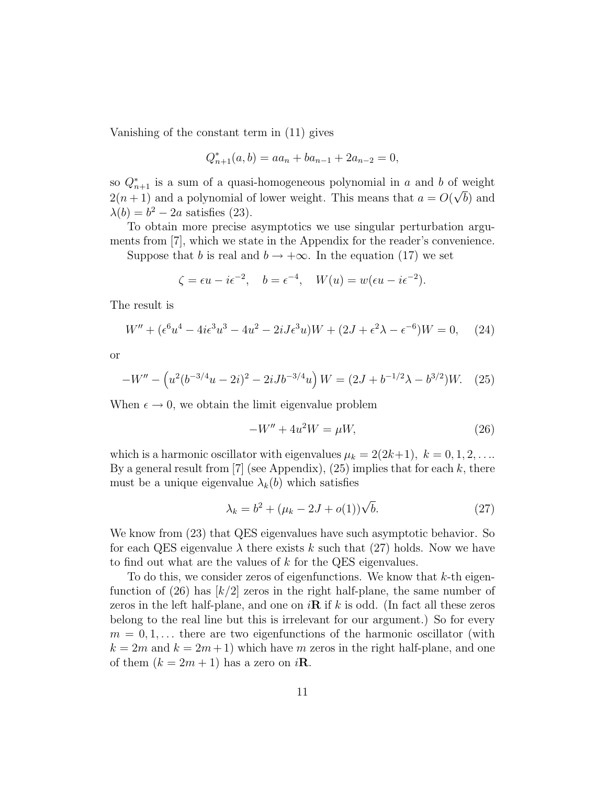Vanishing of the constant term in (11) gives

$$
Q_{n+1}^*(a,b) = aa_n + ba_{n-1} + 2a_{n-2} = 0,
$$

so  $Q_{n+1}^*$  is a sum of a quasi-homogeneous polynomial in a and b of weight  $2(n+1)$  and a polynomial of lower weight. This means that  $a = O(\sqrt{b})$  and  $\lambda(b) = b^2 - 2a$  satisfies (23).

To obtain more precise asymptotics we use singular perturbation arguments from [7], which we state in the Appendix for the reader's convenience.

Suppose that b is real and  $b \to +\infty$ . In the equation (17) we set

$$
\zeta = \epsilon u - i\epsilon^{-2}, \quad b = \epsilon^{-4}, \quad W(u) = w(\epsilon u - i\epsilon^{-2}).
$$

The result is

$$
W'' + (\epsilon^6 u^4 - 4i\epsilon^3 u^3 - 4u^2 - 2iJ\epsilon^3 u)W + (2J + \epsilon^2 \lambda - \epsilon^{-6})W = 0, \quad (24)
$$

or

$$
-W'' - \left(u^2(b^{-3/4}u - 2i)^2 - 2iJb^{-3/4}u\right)W = (2J + b^{-1/2}\lambda - b^{3/2})W.
$$
 (25)

When  $\epsilon \to 0$ , we obtain the limit eigenvalue problem

$$
-W'' + 4u^2W = \mu W, \tag{26}
$$

which is a harmonic oscillator with eigenvalues  $\mu_k = 2(2k+1), k = 0, 1, 2, \ldots$ By a general result from [7] (see Appendix), (25) implies that for each k, there must be a unique eigenvalue  $\lambda_k(b)$  which satisfies

$$
\lambda_k = b^2 + (\mu_k - 2J + o(1))\sqrt{b}.
$$
 (27)

We know from (23) that QES eigenvalues have such asymptotic behavior. So for each QES eigenvalue  $\lambda$  there exists k such that (27) holds. Now we have to find out what are the values of k for the QES eigenvalues.

To do this, we consider zeros of eigenfunctions. We know that  $k$ -th eigenfunction of  $(26)$  has  $\lfloor k/2 \rfloor$  zeros in the right half-plane, the same number of zeros in the left half-plane, and one on  $i\mathbf{R}$  if k is odd. (In fact all these zeros belong to the real line but this is irrelevant for our argument.) So for every  $m = 0, 1, \ldots$  there are two eigenfunctions of the harmonic oscillator (with  $k = 2m$  and  $k = 2m + 1$ ) which have m zeros in the right half-plane, and one of them  $(k = 2m + 1)$  has a zero on  $i\mathbf{R}$ .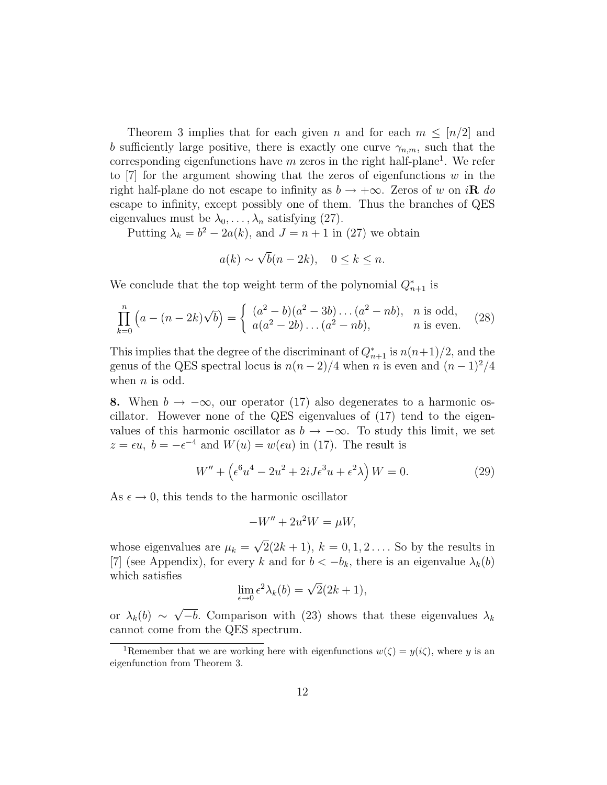Theorem 3 implies that for each given n and for each  $m \leq \lfloor n/2 \rfloor$  and b sufficiently large positive, there is exactly one curve  $\gamma_{n,m}$ , such that the corresponding eigenfunctions have  $m$  zeros in the right half-plane<sup>1</sup>. We refer to [7] for the argument showing that the zeros of eigenfunctions  $w$  in the right half-plane do not escape to infinity as  $b \rightarrow +\infty$ . Zeros of w on i**R** do escape to infinity, except possibly one of them. Thus the branches of QES eigenvalues must be  $\lambda_0, \ldots, \lambda_n$  satisfying (27).

Putting  $\lambda_k = b^2 - 2a(k)$ , and  $J = n + 1$  in (27) we obtain

$$
a(k) \sim \sqrt{b}(n-2k), \quad 0 \le k \le n.
$$

We conclude that the top weight term of the polynomial  $Q_{n+1}^*$  is

$$
\prod_{k=0}^{n} \left( a - (n-2k)\sqrt{b} \right) = \begin{cases} (a^2 - b)(a^2 - 3b) \dots (a^2 - nb), & n \text{ is odd,} \\ a(a^2 - 2b) \dots (a^2 - nb), & n \text{ is even.} \end{cases}
$$
 (28)

This implies that the degree of the discriminant of  $Q_{n+1}^*$  is  $n(n+1)/2$ , and the genus of the QES spectral locus is  $n(n-2)/4$  when n is even and  $(n-1)^2/4$ when  $n$  is odd.

8. When  $b \to -\infty$ , our operator (17) also degenerates to a harmonic oscillator. However none of the QES eigenvalues of (17) tend to the eigenvalues of this harmonic oscillator as  $b \to -\infty$ . To study this limit, we set  $z = \epsilon u$ ,  $b = -\epsilon^{-4}$  and  $W(u) = w(\epsilon u)$  in (17). The result is

$$
W'' + \left(\epsilon^6 u^4 - 2u^2 + 2iJ\epsilon^3 u + \epsilon^2 \lambda\right) W = 0.
$$
 (29)

As  $\epsilon \to 0$ , this tends to the harmonic oscillator

$$
-W'' + 2u^2W = \mu W,
$$

whose eigenvalues are  $\mu_k = \sqrt{2}(2k+1)$ ,  $k = 0, 1, 2 \dots$ . So by the results in [7] (see Appendix), for every k and for  $b < -b_k$ , there is an eigenvalue  $\lambda_k(b)$ which satisfies

$$
\lim_{\epsilon \to 0} \epsilon^2 \lambda_k(b) = \sqrt{2}(2k+1),
$$

or  $\lambda_k(b) \sim \sqrt{-b}$ . Comparison with (23) shows that these eigenvalues  $\lambda_k$ cannot come from the QES spectrum.

<sup>&</sup>lt;sup>1</sup>Remember that we are working here with eigenfunctions  $w(\zeta) = u(i\zeta)$ , where y is an eigenfunction from Theorem 3.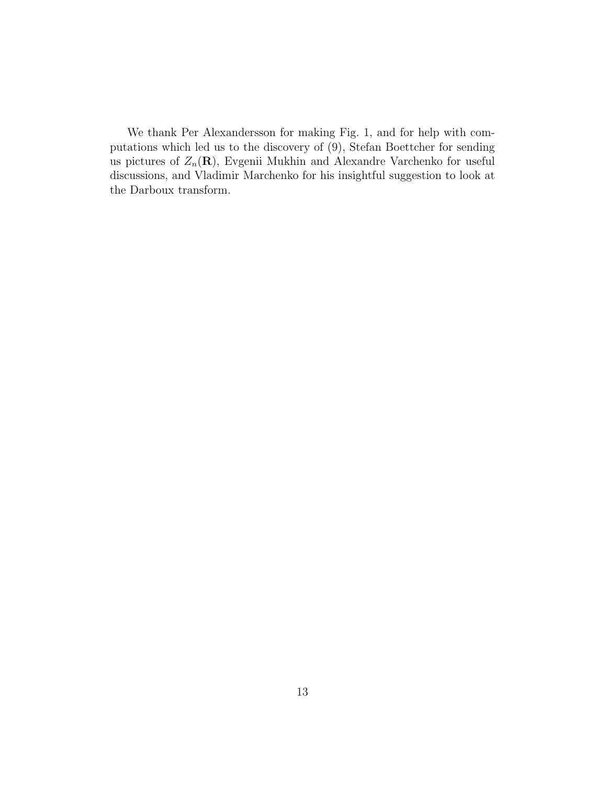We thank Per Alexandersson for making Fig. 1, and for help with computations which led us to the discovery of (9), Stefan Boettcher for sending us pictures of  $Z_n(\mathbf{R})$ , Evgenii Mukhin and Alexandre Varchenko for useful discussions, and Vladimir Marchenko for his insightful suggestion to look at the Darboux transform.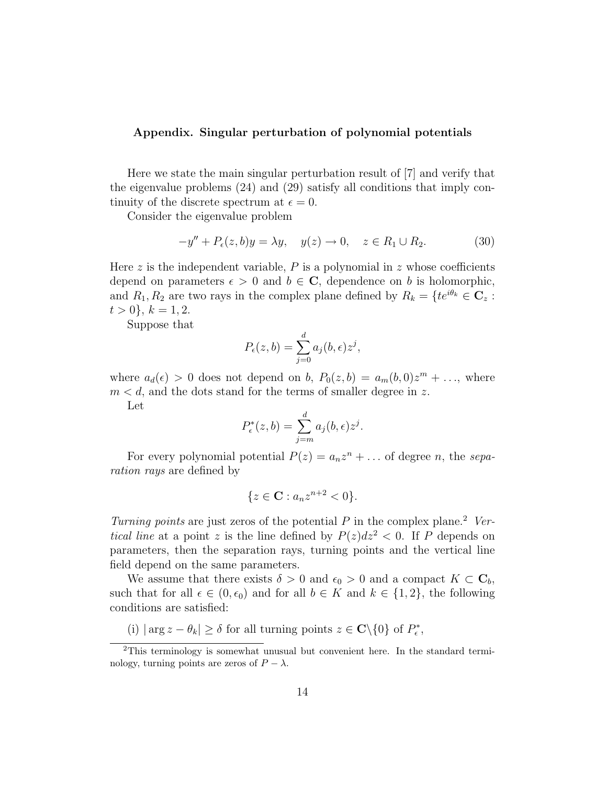#### Appendix. Singular perturbation of polynomial potentials

Here we state the main singular perturbation result of [7] and verify that the eigenvalue problems (24) and (29) satisfy all conditions that imply continuity of the discrete spectrum at  $\epsilon = 0$ .

Consider the eigenvalue problem

$$
-y'' + P_{\epsilon}(z, b)y = \lambda y, \quad y(z) \to 0, \quad z \in R_1 \cup R_2.
$$
 (30)

Here z is the independent variable,  $P$  is a polynomial in z whose coefficients depend on parameters  $\epsilon > 0$  and  $b \in \mathbb{C}$ , dependence on b is holomorphic, and  $R_1, R_2$  are two rays in the complex plane defined by  $R_k = \{te^{i\theta_k} \in \mathbb{C}_z :$  $t > 0$ ,  $k = 1, 2$ .

Suppose that

$$
P_{\epsilon}(z,b) = \sum_{j=0}^{d} a_j(b,\epsilon) z^j,
$$

where  $a_d(\epsilon) > 0$  does not depend on b,  $P_0(z, b) = a_m(b, 0)z^m + \ldots$ , where  $m < d$ , and the dots stand for the terms of smaller degree in z.

Let

$$
P_{\epsilon}^*(z,b) = \sum_{j=m}^d a_j(b,\epsilon) z^j.
$$

For every polynomial potential  $P(z) = a_n z^n + \dots$  of degree *n*, the *separation rays* are defined by

$$
\{z \in \mathbf{C} : a_n z^{n+2} < 0\}.
$$

*Turning points* are just zeros of the potential P in the complex plane.<sup>2</sup> Ver*tical line* at a point z is the line defined by  $P(z)dz^2 < 0$ . If P depends on parameters, then the separation rays, turning points and the vertical line field depend on the same parameters.

We assume that there exists  $\delta > 0$  and  $\epsilon_0 > 0$  and a compact  $K \subset \mathbf{C}_b$ , such that for all  $\epsilon \in (0, \epsilon_0)$  and for all  $b \in K$  and  $k \in \{1, 2\}$ , the following conditions are satisfied:

(i)  $|\arg z - \theta_k| \ge \delta$  for all turning points  $z \in \mathbb{C} \setminus \{0\}$  of  $P^*_\epsilon$ ,

<sup>2</sup>This terminology is somewhat unusual but convenient here. In the standard terminology, turning points are zeros of  $P - \lambda$ .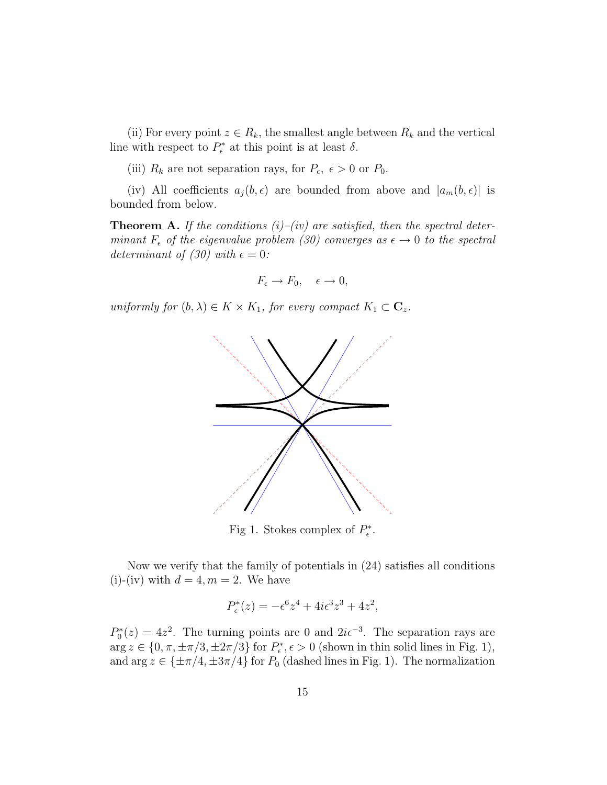(ii) For every point  $z \in R_k$ , the smallest angle between  $R_k$  and the vertical line with respect to  $P_{\epsilon}^*$  at this point is at least  $\delta$ .

(iii)  $R_k$  are not separation rays, for  $P_{\epsilon}$ ,  $\epsilon > 0$  or  $P_0$ .

(iv) All coefficients  $a_i(b, \epsilon)$  are bounded from above and  $|a_m(b, \epsilon)|$  is bounded from below.

Theorem A. *If the conditions (i)–(iv) are satisfied, then the spectral determinant*  $F_{\epsilon}$  *of the eigenvalue problem (30) converges as*  $\epsilon \rightarrow 0$  *to the spectral determinant of (30) with*  $\epsilon = 0$ :

$$
F_{\epsilon} \to F_0, \quad \epsilon \to 0,
$$

*uniformly for*  $(b, \lambda) \in K \times K_1$ *, for every compact*  $K_1 \subset \mathbb{C}_z$ *.* 



Fig 1. Stokes complex of  $P_{\epsilon}^*$ .

Now we verify that the family of potentials in (24) satisfies all conditions (i)-(iv) with  $d = 4, m = 2$ . We have

$$
P_{\epsilon}^*(z) = -\epsilon^6 z^4 + 4i\epsilon^3 z^3 + 4z^2,
$$

 $P_0^*(z) = 4z^2$ . The turning points are 0 and  $2i\epsilon^{-3}$ . The separation rays are  $\arg z \in \{0, \pi, \pm \pi/3, \pm 2\pi/3\}$  for  $P_{\epsilon}^*, \epsilon > 0$  (shown in thin solid lines in Fig. 1), and  $\arg z \in {\pm \pi/4, \pm 3\pi/4}$  for  $P_0$  (dashed lines in Fig. 1). The normalization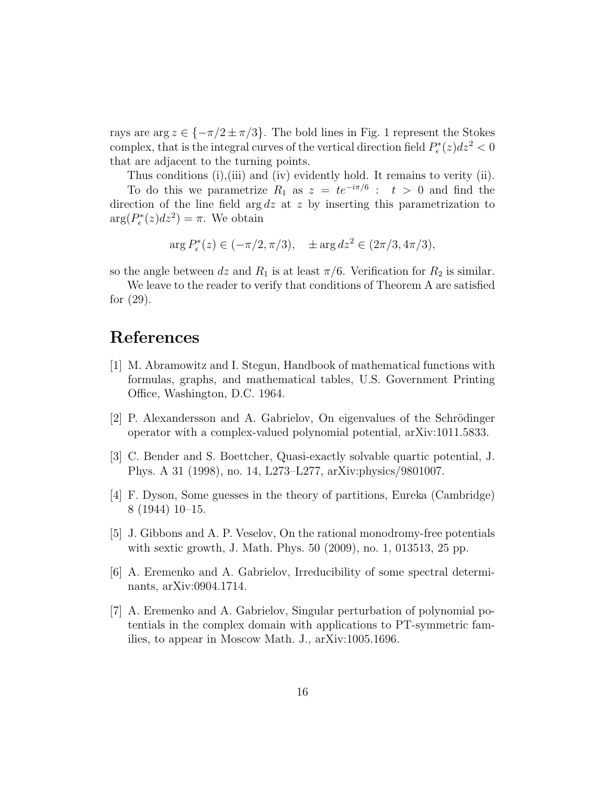rays are  $\arg z \in \{-\pi/2 \pm \pi/3\}$ . The bold lines in Fig. 1 represent the Stokes complex, that is the integral curves of the vertical direction field  $P_{\epsilon}^*(z)dz^2 < 0$ that are adjacent to the turning points.

Thus conditions (i),(iii) and (iv) evidently hold. It remains to verity (ii). To do this we parametrize  $R_1$  as  $z = te^{-i\pi/6}$ :  $t > 0$  and find the direction of the line field arg  $dz$  at z by inserting this parametrization to  $\arg(P_{\epsilon}^{*}(z)dz^{2}) = \pi$ . We obtain

$$
\arg P_{\epsilon}^*(z) \in (-\pi/2, \pi/3), \quad \pm \arg dz^2 \in (2\pi/3, 4\pi/3),
$$

so the angle between dz and  $R_1$  is at least  $\pi/6$ . Verification for  $R_2$  is similar.

We leave to the reader to verify that conditions of Theorem A are satisfied for (29).

## References

- [1] M. Abramowitz and I. Stegun, Handbook of mathematical functions with formulas, graphs, and mathematical tables, U.S. Government Printing Office, Washington, D.C. 1964.
- $[2]$  P. Alexandersson and A. Gabrielov, On eigenvalues of the Schrödinger operator with a complex-valued polynomial potential, arXiv:1011.5833.
- [3] C. Bender and S. Boettcher, Quasi-exactly solvable quartic potential, J. Phys. A 31 (1998), no. 14, L273–L277, arXiv:physics/9801007.
- [4] F. Dyson, Some guesses in the theory of partitions, Eureka (Cambridge) 8 (1944) 10–15.
- [5] J. Gibbons and A. P. Veselov, On the rational monodromy-free potentials with sextic growth, J. Math. Phys. 50 (2009), no. 1, 013513, 25 pp.
- [6] A. Eremenko and A. Gabrielov, Irreducibility of some spectral determinants, arXiv:0904.1714.
- [7] A. Eremenko and A. Gabrielov, Singular perturbation of polynomial potentials in the complex domain with applications to PT-symmetric families, to appear in Moscow Math. J., arXiv:1005.1696.